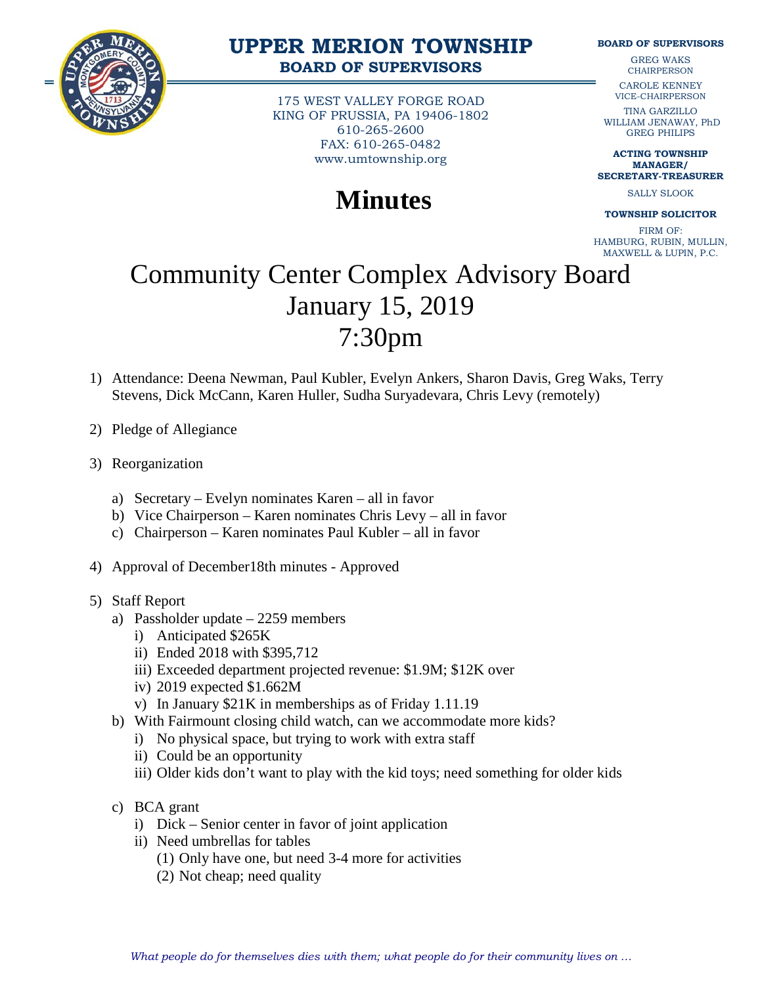

## **UPPER MERION TOWNSHIP BOARD OF SUPERVISORS**

175 WEST VALLEY FORGE ROAD KING OF PRUSSIA, PA 19406-1802 610-265-2600 FAX: 610-265-0482 www.umtownship.org

## **Minutes**

**BOARD OF SUPERVISORS**

GREG WAKS **CHAIRPERSON** 

CAROLE KENNEY VICE-CHAIRPERSON

TINA GARZILLO WILLIAM JENAWAY, PhD GREG PHILIPS

**ACTING TOWNSHIP MANAGER/ SECRETARY-TREASURER**

SALLY SLOOK

**TOWNSHIP SOLICITOR**

FIRM OF: HAMBURG, RUBIN, MULLIN, MAXWELL & LUPIN, P.C.

## Community Center Complex Advisory Board January 15, 2019 7:30pm

- 1) Attendance: Deena Newman, Paul Kubler, Evelyn Ankers, Sharon Davis, Greg Waks, Terry Stevens, Dick McCann, Karen Huller, Sudha Suryadevara, Chris Levy (remotely)
- 2) Pledge of Allegiance
- 3) Reorganization
	- a) Secretary Evelyn nominates Karen all in favor
	- b) Vice Chairperson Karen nominates Chris Levy all in favor
	- c) Chairperson Karen nominates Paul Kubler all in favor
- 4) Approval of December18th minutes Approved
- 5) Staff Report
	- a) Passholder update 2259 members
		- i) Anticipated \$265K
		- ii) Ended 2018 with \$395,712
		- iii) Exceeded department projected revenue: \$1.9M; \$12K over
		- iv) 2019 expected \$1.662M
		- v) In January \$21K in memberships as of Friday 1.11.19
	- b) With Fairmount closing child watch, can we accommodate more kids?
		- i) No physical space, but trying to work with extra staff
		- ii) Could be an opportunity
		- iii) Older kids don't want to play with the kid toys; need something for older kids
	- c) BCA grant
		- i) Dick Senior center in favor of joint application
		- ii) Need umbrellas for tables
			- (1) Only have one, but need 3-4 more for activities
			- (2) Not cheap; need quality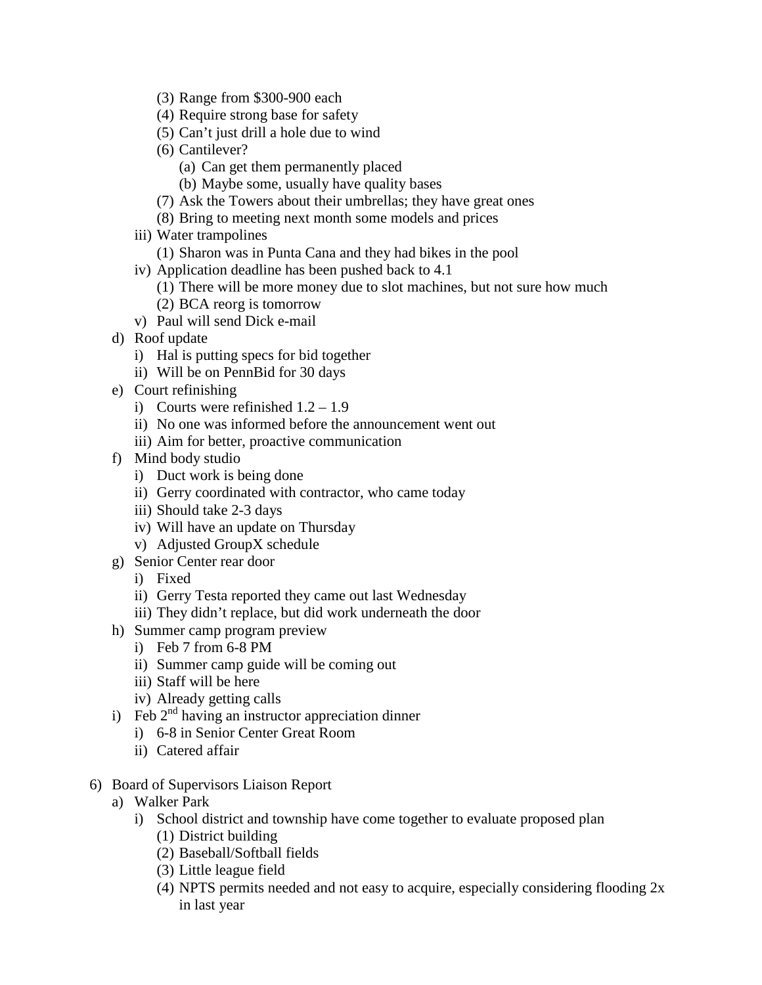- (3) Range from \$300-900 each
- (4) Require strong base for safety
- (5) Can't just drill a hole due to wind
- (6) Cantilever?
	- (a) Can get them permanently placed
	- (b) Maybe some, usually have quality bases
- (7) Ask the Towers about their umbrellas; they have great ones
- (8) Bring to meeting next month some models and prices
- iii) Water trampolines
	- (1) Sharon was in Punta Cana and they had bikes in the pool
- iv) Application deadline has been pushed back to 4.1
	- (1) There will be more money due to slot machines, but not sure how much
	- (2) BCA reorg is tomorrow
- v) Paul will send Dick e-mail
- d) Roof update
	- i) Hal is putting specs for bid together
	- ii) Will be on PennBid for 30 days
- e) Court refinishing
	- i) Courts were refinished  $1.2 1.9$
	- ii) No one was informed before the announcement went out
	- iii) Aim for better, proactive communication
- f) Mind body studio
	- i) Duct work is being done
	- ii) Gerry coordinated with contractor, who came today
	- iii) Should take 2-3 days
	- iv) Will have an update on Thursday
	- v) Adjusted GroupX schedule
- g) Senior Center rear door
	- i) Fixed
	- ii) Gerry Testa reported they came out last Wednesday
	- iii) They didn't replace, but did work underneath the door
- h) Summer camp program preview
	- i) Feb 7 from 6-8 PM
	- ii) Summer camp guide will be coming out
	- iii) Staff will be here
	- iv) Already getting calls
- i) Feb  $2<sup>nd</sup>$  having an instructor appreciation dinner
	- i) 6-8 in Senior Center Great Room
	- ii) Catered affair
- 6) Board of Supervisors Liaison Report
	- a) Walker Park
		- i) School district and township have come together to evaluate proposed plan
			- (1) District building
			- (2) Baseball/Softball fields
			- (3) Little league field
			- (4) NPTS permits needed and not easy to acquire, especially considering flooding 2x in last year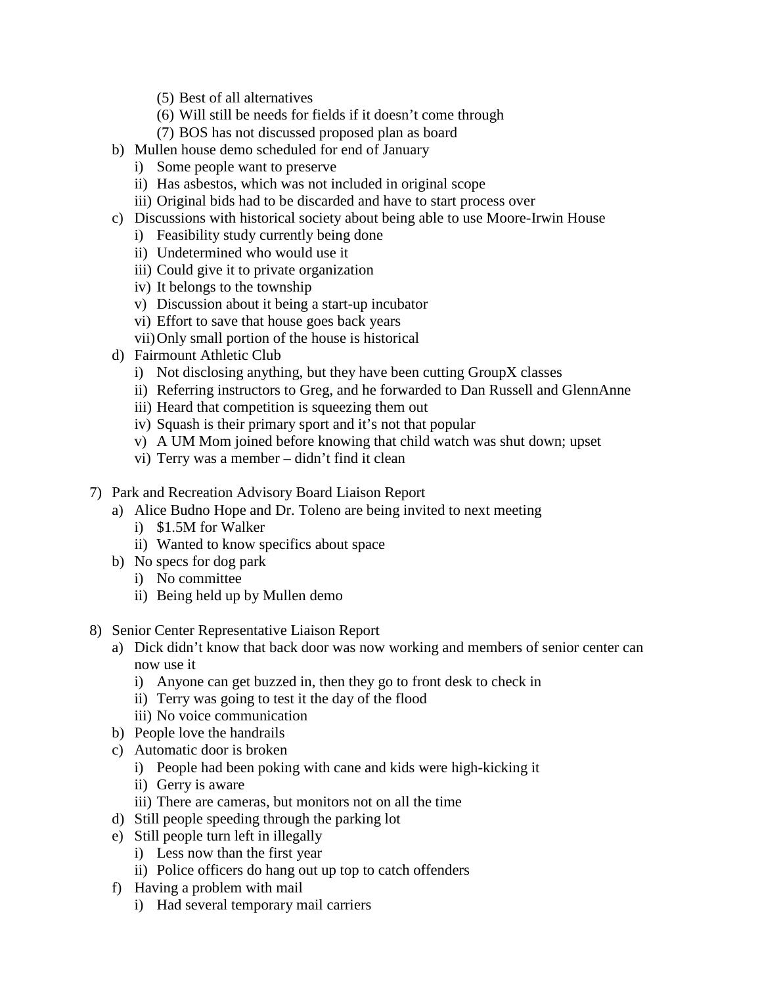- (5) Best of all alternatives
- (6) Will still be needs for fields if it doesn't come through
- (7) BOS has not discussed proposed plan as board
- b) Mullen house demo scheduled for end of January
	- i) Some people want to preserve
	- ii) Has asbestos, which was not included in original scope
	- iii) Original bids had to be discarded and have to start process over
- c) Discussions with historical society about being able to use Moore-Irwin House
	- i) Feasibility study currently being done
	- ii) Undetermined who would use it
	- iii) Could give it to private organization
	- iv) It belongs to the township
	- v) Discussion about it being a start-up incubator
	- vi) Effort to save that house goes back years
	- vii)Only small portion of the house is historical
- d) Fairmount Athletic Club
	- i) Not disclosing anything, but they have been cutting GroupX classes
	- ii) Referring instructors to Greg, and he forwarded to Dan Russell and GlennAnne
	- iii) Heard that competition is squeezing them out
	- iv) Squash is their primary sport and it's not that popular
	- v) A UM Mom joined before knowing that child watch was shut down; upset
	- vi) Terry was a member didn't find it clean
- 7) Park and Recreation Advisory Board Liaison Report
	- a) Alice Budno Hope and Dr. Toleno are being invited to next meeting
		- i) \$1.5M for Walker
		- ii) Wanted to know specifics about space
	- b) No specs for dog park
		- i) No committee
		- ii) Being held up by Mullen demo
- 8) Senior Center Representative Liaison Report
	- a) Dick didn't know that back door was now working and members of senior center can now use it
		- i) Anyone can get buzzed in, then they go to front desk to check in
		- ii) Terry was going to test it the day of the flood
		- iii) No voice communication
	- b) People love the handrails
	- c) Automatic door is broken
		- i) People had been poking with cane and kids were high-kicking it
		- ii) Gerry is aware
		- iii) There are cameras, but monitors not on all the time
	- d) Still people speeding through the parking lot
	- e) Still people turn left in illegally
		- i) Less now than the first year
		- ii) Police officers do hang out up top to catch offenders
	- f) Having a problem with mail
		- i) Had several temporary mail carriers